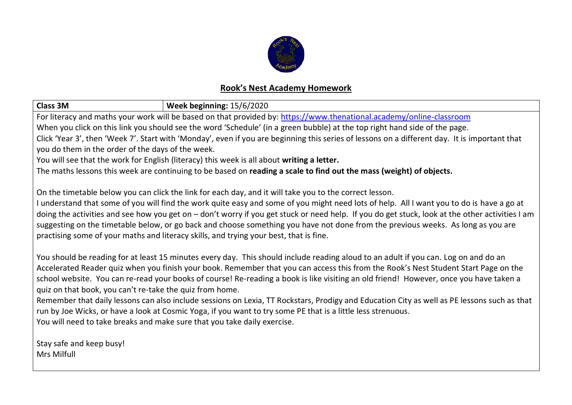

## **Rook's Nest Academy Homework**

| <b>Class 3M</b><br><b>Week beginning: 15/6/2020</b>                                                                                             |                                                                                                                                             |  |  |  |  |  |  |
|-------------------------------------------------------------------------------------------------------------------------------------------------|---------------------------------------------------------------------------------------------------------------------------------------------|--|--|--|--|--|--|
| For literacy and maths your work will be based on that provided by: https://www.thenational.academy/online-classroom                            |                                                                                                                                             |  |  |  |  |  |  |
| When you click on this link you should see the word 'Schedule' (in a green bubble) at the top right hand side of the page.                      |                                                                                                                                             |  |  |  |  |  |  |
| Click 'Year 3', then 'Week 7'. Start with 'Monday', even if you are beginning this series of lessons on a different day. It is important that   |                                                                                                                                             |  |  |  |  |  |  |
| you do them in the order of the days of the week.                                                                                               |                                                                                                                                             |  |  |  |  |  |  |
| You will see that the work for English (literacy) this week is all about writing a letter.                                                      |                                                                                                                                             |  |  |  |  |  |  |
| The maths lessons this week are continuing to be based on reading a scale to find out the mass (weight) of objects.                             |                                                                                                                                             |  |  |  |  |  |  |
| On the timetable below you can click the link for each day, and it will take you to the correct lesson.                                         |                                                                                                                                             |  |  |  |  |  |  |
| I understand that some of you will find the work quite easy and some of you might need lots of help. All I want you to do is have a go at       |                                                                                                                                             |  |  |  |  |  |  |
| doing the activities and see how you get on - don't worry if you get stuck or need help. If you do get stuck, look at the other activities I am |                                                                                                                                             |  |  |  |  |  |  |
|                                                                                                                                                 | suggesting on the timetable below, or go back and choose something you have not done from the previous weeks. As long as you are            |  |  |  |  |  |  |
| practising some of your maths and literacy skills, and trying your best, that is fine.                                                          |                                                                                                                                             |  |  |  |  |  |  |
|                                                                                                                                                 |                                                                                                                                             |  |  |  |  |  |  |
| You should be reading for at least 15 minutes every day. This should include reading aloud to an adult if you can. Log on and do an             |                                                                                                                                             |  |  |  |  |  |  |
| Accelerated Reader quiz when you finish your book. Remember that you can access this from the Rook's Nest Student Start Page on the             |                                                                                                                                             |  |  |  |  |  |  |
| school website. You can re-read your books of course! Re-reading a book is like visiting an old friend! However, once you have taken a          |                                                                                                                                             |  |  |  |  |  |  |
| quiz on that book, you can't re-take the quiz from home.                                                                                        |                                                                                                                                             |  |  |  |  |  |  |
|                                                                                                                                                 | Remember that daily lessons can also include sessions on Lexia, TT Rockstars, Prodigy and Education City as well as PE lessons such as that |  |  |  |  |  |  |
| run by Joe Wicks, or have a look at Cosmic Yoga, if you want to try some PE that is a little less strenuous.                                    |                                                                                                                                             |  |  |  |  |  |  |
| You will need to take breaks and make sure that you take daily exercise.                                                                        |                                                                                                                                             |  |  |  |  |  |  |
| Stay safe and keep busy!                                                                                                                        |                                                                                                                                             |  |  |  |  |  |  |
| Mrs Milfull                                                                                                                                     |                                                                                                                                             |  |  |  |  |  |  |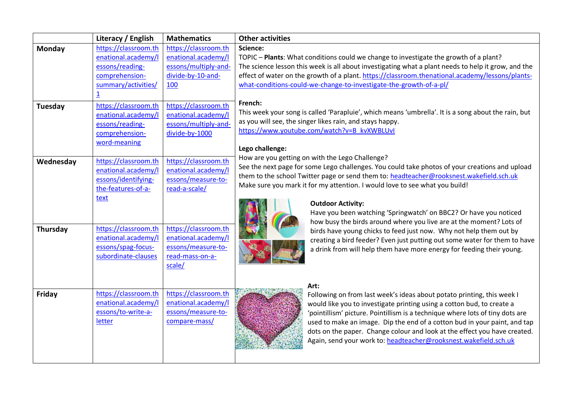|                   | Literacy / English                                                                                                                                                                          | <b>Mathematics</b>                                                                                                                                                     | <b>Other activities</b>                                                                                                                                                                                                                                                                                                                                                                                                                                                                                                                                                                                        |
|-------------------|---------------------------------------------------------------------------------------------------------------------------------------------------------------------------------------------|------------------------------------------------------------------------------------------------------------------------------------------------------------------------|----------------------------------------------------------------------------------------------------------------------------------------------------------------------------------------------------------------------------------------------------------------------------------------------------------------------------------------------------------------------------------------------------------------------------------------------------------------------------------------------------------------------------------------------------------------------------------------------------------------|
| Monday<br>Tuesday | https://classroom.th<br>enational.academy/l<br>essons/reading-<br>comprehension-<br>summary/activities/<br>$\overline{1}$<br>https://classroom.th<br>enational.academy/l<br>essons/reading- | https://classroom.th<br>enational.academy/l<br>essons/multiply-and-<br>divide-by-10-and-<br>100<br>https://classroom.th<br>enational.academy/l<br>essons/multiply-and- | Science:<br>TOPIC - Plants: What conditions could we change to investigate the growth of a plant?<br>The science lesson this week is all about investigating what a plant needs to help it grow, and the<br>effect of water on the growth of a plant. https://classroom.thenational.academy/lessons/plants-<br>what-conditions-could-we-change-to-investigate-the-growth-of-a-pl/<br>French:<br>This week your song is called 'Parapluie', which means 'umbrella'. It is a song about the rain, but<br>as you will see, the singer likes rain, and stays happy.<br>https://www.youtube.com/watch?v=B_kvXWBLUvI |
| Wednesday         | comprehension-<br>word-meaning<br>https://classroom.th<br>enational.academy/l<br>essons/identifying-<br>the-features-of-a-                                                                  | divide-by-1000<br>https://classroom.th<br>enational.academy/l<br>essons/measure-to-<br>read-a-scale/                                                                   | Lego challenge:<br>How are you getting on with the Lego Challenge?<br>See the next page for some Lego challenges. You could take photos of your creations and upload<br>them to the school Twitter page or send them to: headteacher@rooksnest.wakefield.sch.uk<br>Make sure you mark it for my attention. I would love to see what you build!                                                                                                                                                                                                                                                                 |
| Thursday          | text<br>https://classroom.th<br>enational.academy/l<br>essons/spag-focus-<br>subordinate-clauses                                                                                            | https://classroom.th<br>enational.academy/l<br>essons/measure-to-<br>read-mass-on-a-<br>scale/                                                                         | <b>Outdoor Activity:</b><br>Have you been watching 'Springwatch' on BBC2? Or have you noticed<br>how busy the birds around where you live are at the moment? Lots of<br>birds have young chicks to feed just now. Why not help them out by<br>creating a bird feeder? Even just putting out some water for them to have<br>a drink from will help them have more energy for feeding their young.                                                                                                                                                                                                               |
| Friday            | https://classroom.th<br>enational.academy/l<br>essons/to-write-a-<br>letter                                                                                                                 | https://classroom.th<br>enational.academy/l<br>essons/measure-to-<br>compare-mass/                                                                                     | Art:<br>Following on from last week's ideas about potato printing, this week I<br>would like you to investigate printing using a cotton bud, to create a<br>'pointillism' picture. Pointillism is a technique where lots of tiny dots are<br>used to make an image. Dip the end of a cotton bud in your paint, and tap<br>dots on the paper. Change colour and look at the effect you have created.<br>Again, send your work to: headteacher@rooksnest.wakefield.sch.uk                                                                                                                                        |